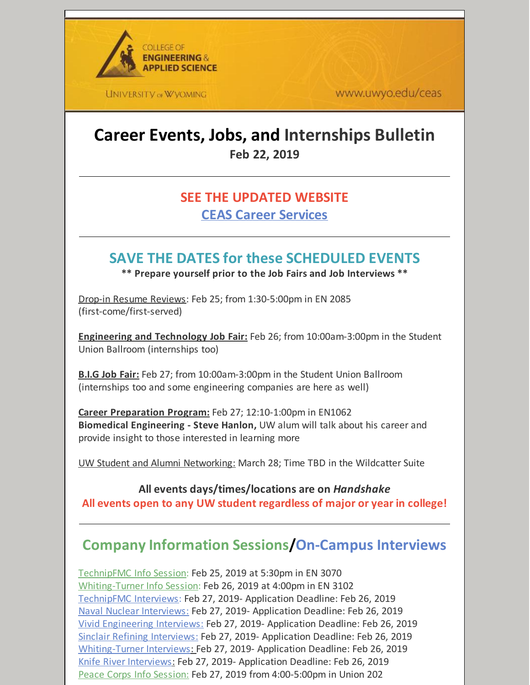

www.uwyo.edu/ceas

# **Career Events, Jobs, and Internships Bulletin Feb 22, 2019**

### **SEE THE UPDATED WEBSITE CEAS Career [Services](http://www.uwyo.edu/ceas/resources/studentservices/jobs/index.html)**

## **SAVE THE DATES for these SCHEDULED EVENTS**

**\*\* Prepare yourself prior to the Job Fairs and Job Interviews \*\***

Drop-in Resume Reviews: Feb 25; from 1:30-5:00pm in EN 2085 (first-come/first-served)

**Engineering and Technology Job Fair:** Feb 26; from 10:00am-3:00pm in the Student Union Ballroom (internships too)

**B.I.G Job Fair:** Feb 27; from 10:00am-3:00pm in the Student Union Ballroom (internships too and some engineering companies are here as well)

**Career Preparation Program:** Feb 27; 12:10-1:00pm in EN1062 **Biomedical Engineering - Steve Hanlon,** UW alum will talk about his career and provide insight to those interested in learning more

UW Student and Alumni Networking: March 28; Time TBD in the Wildcatter Suite

#### **All events days/times/locations are on** *Handshake* **All events open to any UW student regardless of major or year in college!**

# **Company Information Sessions/On-Campus Interviews**

TechnipFMC Info Session: Feb 25, 2019 at 5:30pm in EN 3070 Whiting-Turner Info Session: Feb 26, 2019 at 4:00pm in EN 3102 TechnipFMC Interviews: Feb 27, 2019- Application Deadline: Feb 26, 2019 Naval Nuclear Interviews: Feb 27, 2019- Application Deadline: Feb 26, 2019 Vivid Engineering Interviews: Feb 27, 2019- Application Deadline: Feb 26, 2019 Sinclair Refining Interviews: Feb 27, 2019- Application Deadline: Feb 26, 2019 Whiting-Turner Interviews: Feb 27, 2019- Application Deadline: Feb 26, 2019 Knife River Interviews: Feb 27, 2019- Application Deadline: Feb 26, 2019 Peace Corps Info Session: Feb 27, 2019 from 4:00-5:00pm in Union 202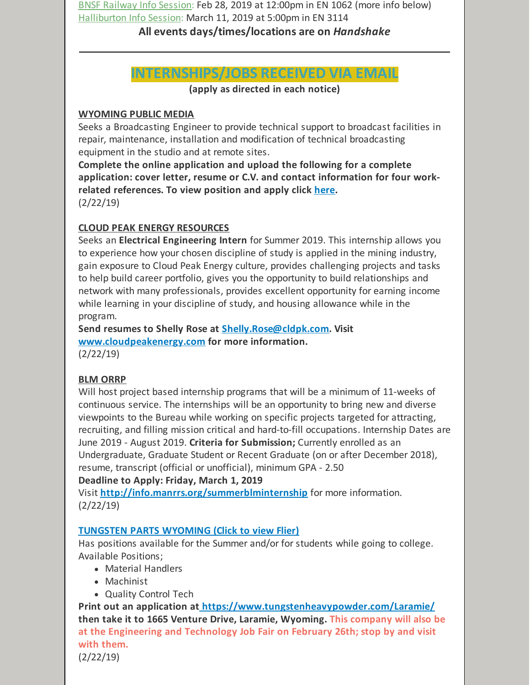BNSF Railway Info Session: Feb 28, 2019 at 12:00pm in EN 1062 (more info below) Halliburton Info Session: March 11, 2019 at 5:00pm in EN 3114

#### **All events days/times/locations are on** *Handshake*

## **INTERNSHIPS/JOBS RECEIVED VIA EMAIL**

**(apply as directed in each notice)**

#### **WYOMING PUBLIC MEDIA**

Seeks a Broadcasting Engineer to provide technical support to broadcast facilities in repair, maintenance, installation and modification of technical broadcasting equipment in the studio and at remote sites.

**Complete the online application and upload the following for a complete application: cover letter, resume or C.V. and contact information for four workrelated references. To view position and apply click [here](https://uwyo.taleo.net/careersection/00_ex/jobdetail.ftl?job=19000216&lang=en#.XE8yvOiKWuA.mailto).** (2/22/19)

#### **CLOUD PEAK ENERGY RESOURCES**

Seeks an **Electrical Engineering Intern** for Summer 2019. This internship allows you to experience how your chosen discipline of study is applied in the mining industry, gain exposure to Cloud Peak Energy culture, provides challenging projects and tasks to help build career portfolio, gives you the opportunity to build relationships and network with many professionals, provides excellent opportunity for earning income while learning in your discipline of study, and housing allowance while in the program.

**Send resumes to Shelly Rose at [Shelly.Rose@cldpk.com](mailto:Shelly.Rose@cldpk.com). Visit [www.cloudpeakenergy.com](http://www.cloudpeakenergy.com) for more information.** (2/22/19)

#### **BLM ORRP**

Will host project based internship programs that will be a minimum of 11-weeks of continuous service. The internships will be an opportunity to bring new and diverse viewpoints to the Bureau while working on specific projects targeted for attracting, recruiting, and filling mission critical and hard-to-fill occupations. Internship Dates are June 2019 - August 2019. **Criteria for Submission;** Currently enrolled as an Undergraduate, Graduate Student or Recent Graduate (on or after December 2018), resume, transcript (official or unofficial), minimum GPA - 2.50

#### **Deadline to Apply: Friday, March 1, 2019**

Visit **<http://info.manrrs.org/summerblminternship>** for more information. (2/22/19)

#### **[TUNGSTEN](https://files.constantcontact.com/b2624f04701/28fb3c24-0eec-4681-a480-d44dd2145f61.pptx) PARTS WYOMING (Click to view Flier)**

Has positions available for the Summer and/or for students while going to college. Available Positions;

- Material Handlers
- Machinist
- Quality Control Tech

**Print out an application at <https://www.tungstenheavypowder.com/Laramie/> then take it to 1665 Venture Drive, Laramie, Wyoming. This company will also be at the Engineering and Technology Job Fair on February 26th; stop by and visit with them.** (2/22/19)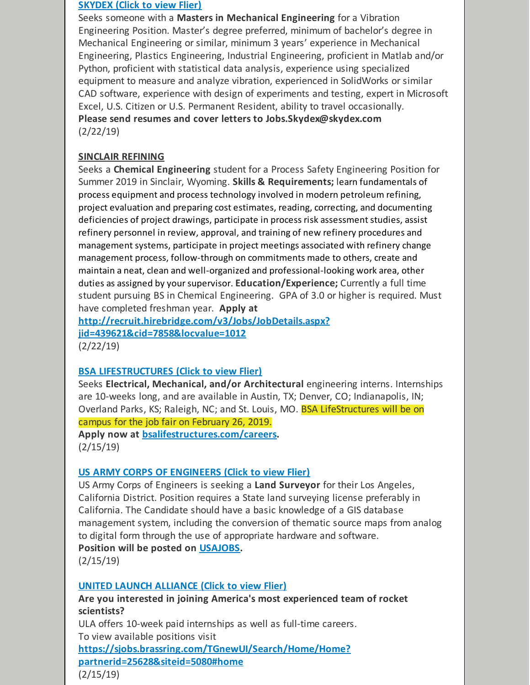#### **[SKYDEX](https://files.constantcontact.com/b2624f04701/47db4771-a2e0-48a2-b50f-b02f6eeff77c.docx) (Click to view Flier)**

Seeks someone with a **Masters in Mechanical Engineering** for a Vibration Engineering Position. Master's degree preferred, minimum of bachelor's degree in Mechanical Engineering or similar, minimum 3 years' experience in Mechanical Engineering, Plastics Engineering, Industrial Engineering, proficient in Matlab and/or Python, proficient with statistical data analysis, experience using specialized equipment to measure and analyze vibration, experienced in SolidWorks or similar CAD software, experience with design of experiments and testing, expert in Microsoft Excel, U.S. Citizen or U.S. Permanent Resident, ability to travel occasionally. **Please send resumes and cover letters to Jobs.Skydex@skydex.com** (2/22/19)

#### **SINCLAIR REFINING**

Seeks a **Chemical Engineering** student for a Process Safety Engineering Position for Summer 2019 in Sinclair, Wyoming. **Skills & Requirements;** learn fundamentals of process equipment and process technology involved in modern petroleum refining, project evaluation and preparing cost estimates, reading, correcting, and documenting deficiencies of project drawings, participate in process risk assessment studies, assist refinery personnel in review, approval, and training of new refinery procedures and management systems, participate in project meetings associated with refinery change management process, follow-through on commitments made to others, create and maintain a neat, clean and well-organized and professional-looking work area, other duties as assigned by yoursupervisor. **Education/Experience;** Currently a full time student pursuing BS in Chemical Engineering. GPA of 3.0 or higher is required. Must have completed freshman year. **Apply at**

**[http://recruit.hirebridge.com/v3/Jobs/JobDetails.aspx?](http://recruit.hirebridge.com/v3/Jobs/JobDetails.aspx?jid=439621&cid=7858&locvalue=1012) jid=439621&cid=7858&locvalue=1012** (2/22/19)

#### **BSA [LIFESTRUCTURES](https://files.constantcontact.com/b2624f04701/abbb95fd-2d86-4fea-a7f3-0dfe93f4b13b.pdf) (Click to view Flier)**

Seeks **Electrical, Mechanical, and/or Architectural** engineering interns. Internships are 10-weeks long, and are available in Austin, TX; Denver, CO; Indianapolis, IN; Overland Parks, KS; Raleigh, NC; and St. Louis, MO. BSA LifeStructures will be on campus for the job fair on February 26, 2019. **Apply now at [bsalifestructures.com/careers](http://bsalifestructures.com/careers).** (2/15/19)

#### **US ARMY CORPS OF [ENGINEERS](https://files.constantcontact.com/b2624f04701/4a48562d-0bb7-4c80-a848-dafa47c53368.docx) (Click to view Flier)**

US Army Corps of Engineers is seeking a **Land Surveyor** for their Los Angeles, California District. Position requires a State land surveying license preferably in California. The Candidate should have a basic knowledge of a GIS database management system, including the conversion of thematic source maps from analog to digital form through the use of appropriate hardware and software.

**Position will be posted on [USAJOBS](https://www.usajobs.gov/).**

(2/15/19)

#### **UNITED LAUNCH [ALLIANCE](https://files.constantcontact.com/b2624f04701/78915ab6-2800-4c83-8cdf-de051715f157.pdf) (Click to view Flier)**

**Are you interested in joining America's most experienced team of rocket scientists?**

ULA offers 10-week paid internships as well as full-time careers. To view available positions visit **[https://sjobs.brassring.com/TGnewUI/Search/Home/Home?](https://sjobs.brassring.com/TGnewUI/Search/Home/Home?partnerid=25628&siteid=5080#home) partnerid=25628&siteid=5080#home** (2/15/19)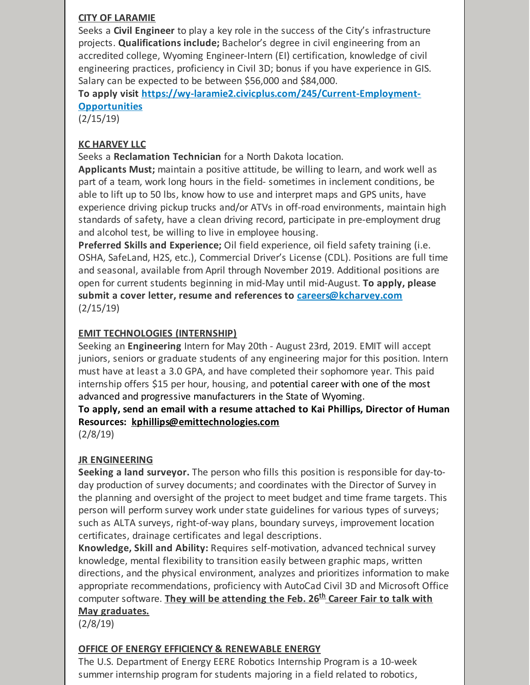#### **CITY OF LARAMIE**

Seeks a **Civil Engineer** to play a key role in the success of the City's infrastructure projects. **Qualifications include;** Bachelor's degree in civil engineering from an accredited college, Wyoming Engineer-Intern (EI) certification, knowledge of civil engineering practices, proficiency in Civil 3D; bonus if you have experience in GIS. Salary can be expected to be between \$56,000 and \$84,000.

**To apply visit [https://wy-laramie2.civicplus.com/245/Current-Employment-](https://wy-laramie2.civicplus.com/245/Current-Employment-Opportunities)Opportunities**

(2/15/19)

#### **KC HARVEY LLC**

Seeks a **Reclamation Technician** for a North Dakota location.

**Applicants Must;** maintain a positive attitude, be willing to learn, and work well as part of a team, work long hours in the field- sometimes in inclement conditions, be able to lift up to 50 lbs, know how to use and interpret maps and GPS units, have experience driving pickup trucks and/or ATVs in off-road environments, maintain high standards of safety, have a clean driving record, participate in pre-employment drug and alcohol test, be willing to live in employee housing.

**Preferred Skills and Experience;** Oil field experience, oil field safety training (i.e. OSHA, SafeLand, H2S, etc.), Commercial Driver's License (CDL). Positions are full time and seasonal, available from April through November 2019. Additional positions are open for current students beginning in mid-May until mid-August. **To apply, please submit a cover letter, resume and references to [careers@kcharvey.com](mailto:careers@kcharvey.com)** (2/15/19)

#### **EMIT TECHNOLOGIES (INTERNSHIP)**

Seeking an **Engineering** Intern for May 20th - August 23rd, 2019. EMIT will accept juniors, seniors or graduate students of any engineering major for this position. Intern must have at least a 3.0 GPA, and have completed their sophomore year. This paid internship offers \$15 per hour, housing, and potential career with one of the most advanced and progressive manufacturers in the State of Wyoming.

**To apply, send an email with a resume attached to Kai Phillips, Director of Human Resources: [kphillips@emittechnologies.com](mailto:kphillips@emittechnologies.com)**

(2/8/19)

#### **JR ENGINEERING**

**Seeking a land surveyor.** The person who fills this position is responsible for day-today production of survey documents; and coordinates with the Director of Survey in the planning and oversight of the project to meet budget and time frame targets. This person will perform survey work under state guidelines for various types of surveys; such as ALTA surveys, right-of-way plans, boundary surveys, improvement location certificates, drainage certificates and legal descriptions.

**Knowledge, Skill and Ability:** Requires self-motivation, advanced technical survey knowledge, mental flexibility to transition easily between graphic maps, written directions, and the physical environment, analyzes and prioritizes information to make appropriate recommendations, proficiency with AutoCad Civil 3D and Microsoft Office computer software. **They will be attending the Feb. 26 th Career Fair to talk with May graduates.**

(2/8/19)

#### **OFFICE OF ENERGY EFFICIENCY & RENEWABLE ENERGY**

The U.S. Department of Energy EERE Robotics Internship Program is a 10-week summer internship program for students majoring in a field related to robotics,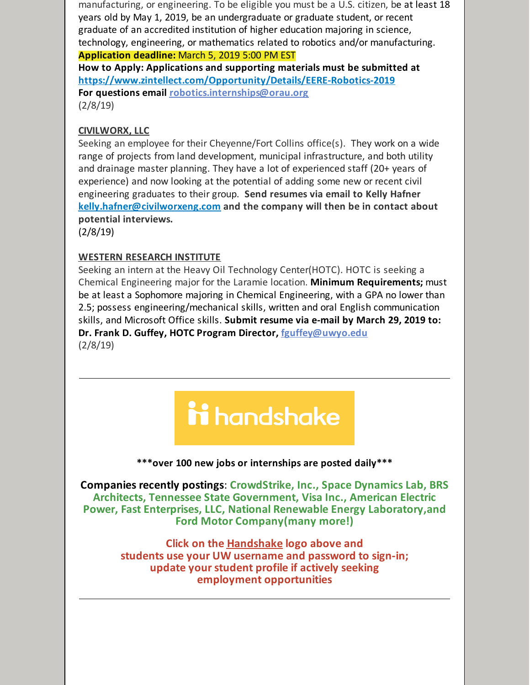manufacturing, or engineering. To be eligible you must be a U.S. citizen, be at least 18 years old by May 1, 2019, be an undergraduate or graduate student, or recent graduate of an accredited institution of higher education majoring in science, technology, engineering, or mathematics related to robotics and/or manufacturing. **Application deadline:** March 5, 2019 5:00 PM EST

**How to Apply: Applications and supporting materials must be submitted at <https://www.zintellect.com/Opportunity/Details/EERE-Robotics-2019> For questions email [robotics.internships@orau.org](mailto:robotics.internships@orau.org)** (2/8/19)

#### **CIVILWORX, LLC**

Seeking an employee for their Cheyenne/Fort Collins office(s). They work on a wide range of projects from land development, municipal infrastructure, and both utility and drainage master planning. They have a lot of experienced staff (20+ years of experience) and now looking at the potential of adding some new or recent civil engineering graduates to their group. **Send resumes via email to Kelly Hafner [kelly.hafner@civilworxeng.com](mailto:kelly.hafner@civilworxeng.com) and the company will then be in contact about potential interviews.**

(2/8/19)

#### **WESTERN RESEARCH INSTITUTE**

Seeking an intern at the Heavy Oil Technology Center(HOTC). HOTC is seeking a Chemical Engineering major for the Laramie location. **Minimum Requirements;** must be at least a Sophomore majoring in Chemical Engineering, with a GPA no lower than 2.5; possess engineering/mechanical skills, written and oral English communication skills, and Microsoft Office skills. **Submit resume via e-mail by March 29, 2019 to: Dr. Frank D. Guffey, HOTC Program Director, [fguffey@uwyo.edu](mailto:fguffey@uwyo.edu)** (2/8/19)

# ii handshake

#### **\*\*\*over 100 new jobs or internships are posted daily\*\*\***

**Companies recently postings**: **CrowdStrike, Inc., Space Dynamics Lab, BRS Architects, Tennessee State Government, Visa Inc., American Electric Power, Fast Enterprises, LLC, National Renewable Energy Laboratory,and Ford Motor Company(many more!)**

> **Click on the [Handshake](http://www.uwyo.edu/aces/career-services/handshake.html) logo above and students use your UW username and password to sign-in; update your student profile if actively seeking employment opportunities**